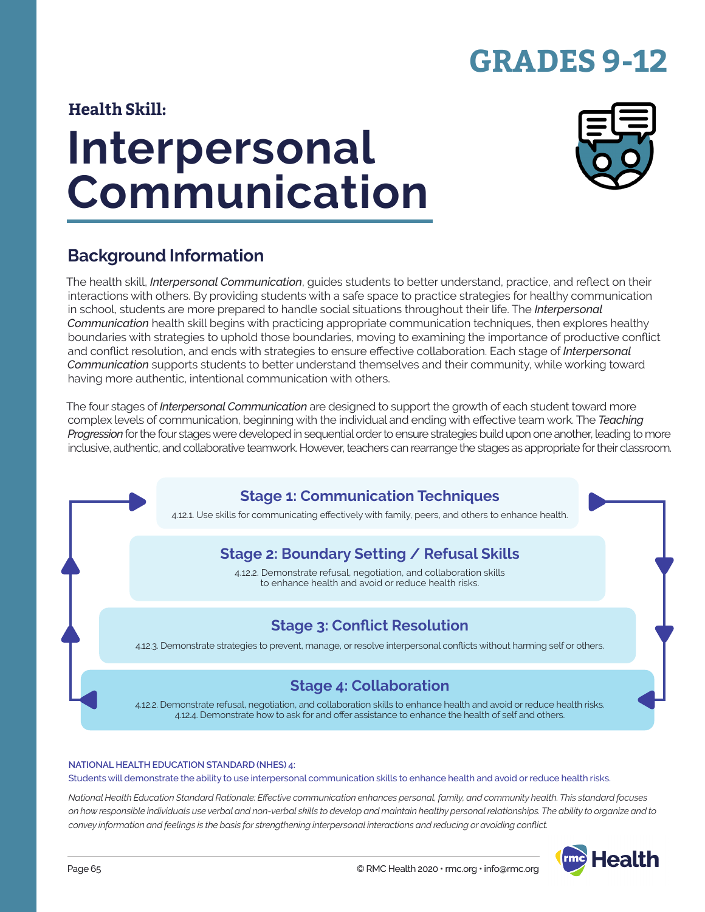# **GRADES 9-12**

### **Health Skill:**

# **Interpersonal Communication**



### **Background Information**

The health skill, *Interpersonal Communication*, guides students to better understand, practice, and reflect on their interactions with others. By providing students with a safe space to practice strategies for healthy communication in school, students are more prepared to handle social situations throughout their life. The *Interpersonal Communication* health skill begins with practicing appropriate communication techniques, then explores healthy boundaries with strategies to uphold those boundaries, moving to examining the importance of productive conflict and conflict resolution, and ends with strategies to ensure effective collaboration. Each stage of *Interpersonal Communication* supports students to better understand themselves and their community, while working toward having more authentic, intentional communication with others.

The four stages of *Interpersonal Communication* are designed to support the growth of each student toward more complex levels of communication, beginning with the individual and ending with effective team work. The *Teaching Progression* for the four stages were developed in sequential order to ensure strategies build upon one another, leading to more inclusive, authentic, and collaborative teamwork. However, teachers can rearrange the stages as appropriate for their classroom.

### **Stage 1: Communication Techniques**

4.12.1. Use skills for communicating effectively with family, peers, and others to enhance health.

### **Stage 2: Boundary Setting / Refusal Skills**

4.12.2. Demonstrate refusal, negotiation, and collaboration skills to enhance health and avoid or reduce health risks.

### **Stage 3: Conflict Resolution**

4.12.3. Demonstrate strategies to prevent, manage, or resolve interpersonal conflicts without harming self or others.

### **Stage 4: Collaboration**

4.12.2. Demonstrate refusal, negotiation, and collaboration skills to enhance health and avoid or reduce health risks. 4.12.4. Demonstrate how to ask for and offer assistance to enhance the health of self and others.

#### **NATIONAL HEALTH EDUCATION STANDARD (NHES) 4:**

Students will demonstrate the ability to use interpersonal communication skills to enhance health and avoid or reduce health risks.

*National Health Education Standard Rationale: Effective communication enhances personal, family, and community health. This standard focuses on how responsible individuals use verbal and non-verbal skills to develop and maintain healthy personal relationships. The ability to organize and to convey information and feelings is the basis for strengthening interpersonal interactions and reducing or avoiding conflict.*

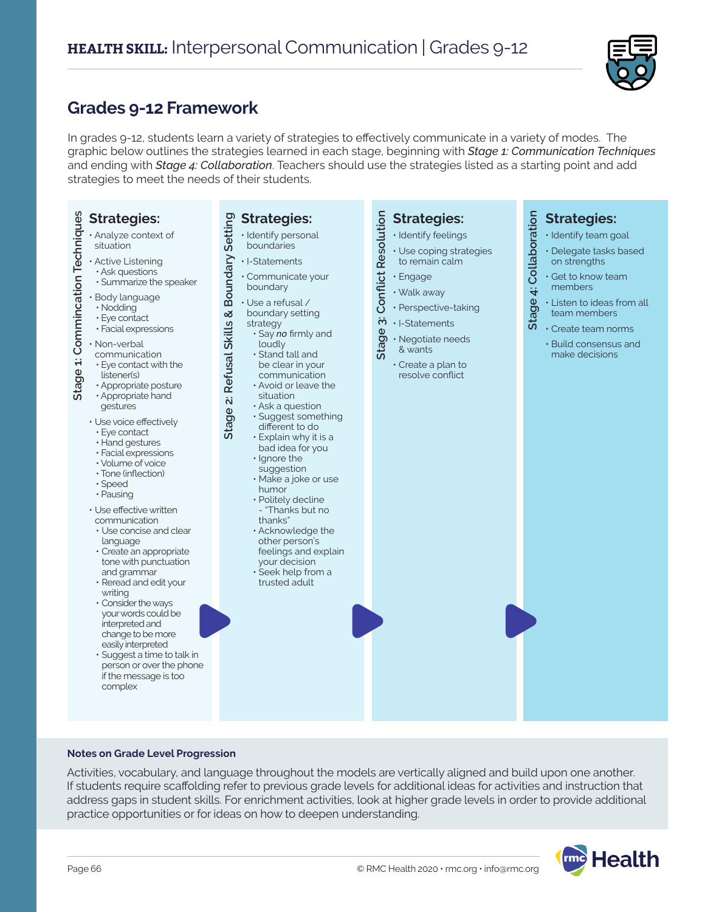

### **Grades 9-12 Framework**

In grades 9-12, students learn a variety of strategies to effectively communicate in a variety of modes. The graphic below outlines the strategies learned in each stage, beginning with *Stage 1: Communication Techniques* and ending with *Stage 4: Collaboration*. Teachers should use the strategies listed as a starting point and add strategies to meet the needs of their students.

| Stage 1: Commincation Techniques<br><b>Strategies:</b><br>· Analyze context of<br>situation<br>· Active Listening<br>· Ask questions<br>· Summarize the speaker<br>· Body language<br>· Nodding<br>• Eye contact<br>· Facial expressions<br>· Non-verbal<br>communication<br>• Eye contact with the<br>listener(s)<br>· Appropriate posture<br>· Appropriate hand<br>gestures<br>· Use voice effectively<br>· Eye contact<br>· Hand gestures<br>· Facial expressions<br>· Volume of voice<br>· Tone (inflection)<br>· Speed<br>· Pausing<br>· Use effective written<br>communication<br>• Use concise and clear<br>language<br>· Create an appropriate<br>tone with punctuation<br>and grammar<br>· Reread and edit your<br>writing<br>• Consider the ways<br>your words could be<br>interpreted and<br>change to be more<br>easily interpreted<br>· Suggest a time to talk in<br>person or over the phone<br>if the message is too<br>complex | <b>Strategies:</b><br>Boundary Setting<br>· Identify personal<br>boundaries<br>· I-Statements<br>· Communicate your<br>boundary<br>· Use a refusal /<br><mark>ି</mark><br>boundary setting<br>Refusal Skills<br>strategy<br>· Say no firmly and<br>loudly<br>· Stand tall and<br>be clear in your<br>communication<br>. Avoid or leave the<br>situation<br>Stage 2:<br>· Ask a question<br>· Suggest something<br>different to do<br>· Explain why it is a<br>bad idea for you<br>· Ignore the<br>suggestion<br>· Make a joke or use<br>humor<br>· Politely decline<br>- "Thanks but no<br>thanks"<br>· Acknowledge the<br>other person's<br>feelings and explain<br>your decision<br>$\cdot$ Seek help from a<br>trusted adult | Resolution<br><b>Strategies:</b><br>· Identify feelings<br>· Use coping strategies<br>to remain calm<br>Conflict<br>· Engage<br>· Walk away<br>· Perspective-taking<br>$\ddot{\mathbf{c}}$<br>· I-Statements<br>Stage<br>· Negotiate needs<br>& wants<br>· Create a plan to<br>resolve conflict | 4: Collaboration<br><b>Strategies:</b><br>· Identify team goal<br>· Delegate tasks based<br>on strengths<br>· Get to know team<br>members<br>Stage.<br>· Listen to ideas from all<br>team members<br>Create team norms<br>· Build consensus and<br>make decisions |
|------------------------------------------------------------------------------------------------------------------------------------------------------------------------------------------------------------------------------------------------------------------------------------------------------------------------------------------------------------------------------------------------------------------------------------------------------------------------------------------------------------------------------------------------------------------------------------------------------------------------------------------------------------------------------------------------------------------------------------------------------------------------------------------------------------------------------------------------------------------------------------------------------------------------------------------------|---------------------------------------------------------------------------------------------------------------------------------------------------------------------------------------------------------------------------------------------------------------------------------------------------------------------------------------------------------------------------------------------------------------------------------------------------------------------------------------------------------------------------------------------------------------------------------------------------------------------------------------------------------------------------------------------------------------------------------|-------------------------------------------------------------------------------------------------------------------------------------------------------------------------------------------------------------------------------------------------------------------------------------------------|-------------------------------------------------------------------------------------------------------------------------------------------------------------------------------------------------------------------------------------------------------------------|
|                                                                                                                                                                                                                                                                                                                                                                                                                                                                                                                                                                                                                                                                                                                                                                                                                                                                                                                                                |                                                                                                                                                                                                                                                                                                                                                                                                                                                                                                                                                                                                                                                                                                                                 |                                                                                                                                                                                                                                                                                                 |                                                                                                                                                                                                                                                                   |

#### **Notes on Grade Level Progression**

Activities, vocabulary, and language throughout the models are vertically aligned and build upon one another. If students require scaffolding refer to previous grade levels for additional ideas for activities and instruction that address gaps in student skills. For enrichment activities, look at higher grade levels in order to provide additional practice opportunities or for ideas on how to deepen understanding.

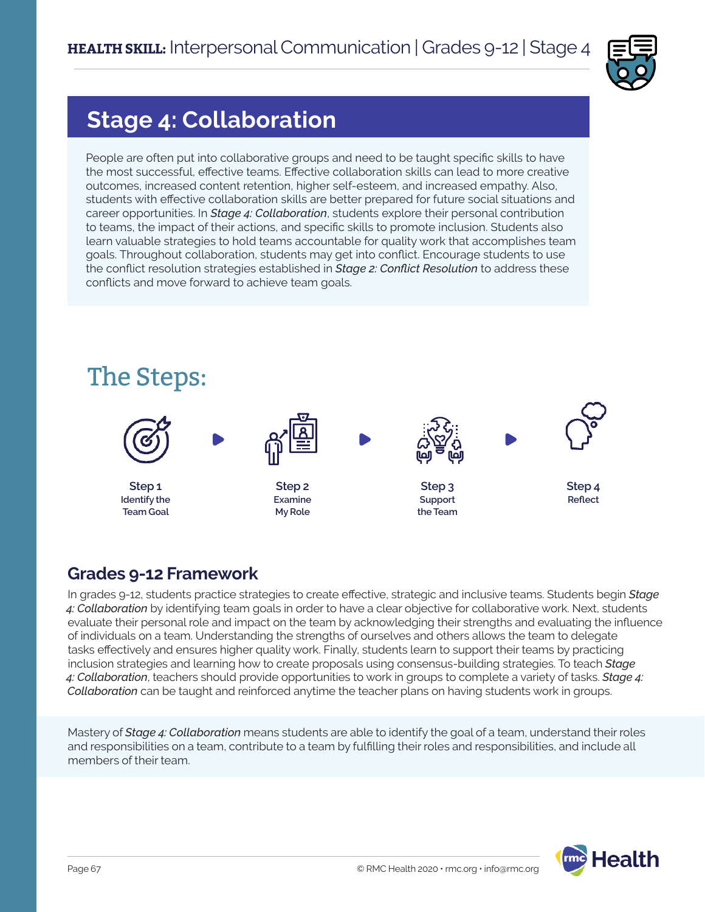

# **Stage 4: Collaboration**

People are often put into collaborative groups and need to be taught specific skills to have the most successful, effective teams. Effective collaboration skills can lead to more creative outcomes, increased content retention, higher self-esteem, and increased empathy. Also, students with effective collaboration skills are better prepared for future social situations and career opportunities. In *Stage 4: Collaboration*, students explore their personal contribution to teams, the impact of their actions, and specific skills to promote inclusion. Students also learn valuable strategies to hold teams accountable for quality work that accomplishes team goals. Throughout collaboration, students may get into conflict. Encourage students to use the conflict resolution strategies established in *Stage 2: Conflict Resolution* to address these conflicts and move forward to achieve team goals.



### **Grades 9-12 Framework**

In grades 9-12, students practice strategies to create effective, strategic and inclusive teams. Students begin *Stage 4: Collaboration* by identifying team goals in order to have a clear objective for collaborative work. Next, students evaluate their personal role and impact on the team by acknowledging their strengths and evaluating the influence of individuals on a team. Understanding the strengths of ourselves and others allows the team to delegate tasks effectively and ensures higher quality work. Finally, students learn to support their teams by practicing inclusion strategies and learning how to create proposals using consensus-building strategies. To teach *Stage 4: Collaboration*, teachers should provide opportunities to work in groups to complete a variety of tasks. *Stage 4: Collaboration* can be taught and reinforced anytime the teacher plans on having students work in groups.

Mastery of *Stage 4: Collaboration* means students are able to identify the goal of a team, understand their roles and responsibilities on a team, contribute to a team by fulfilling their roles and responsibilities, and include all members of their team.

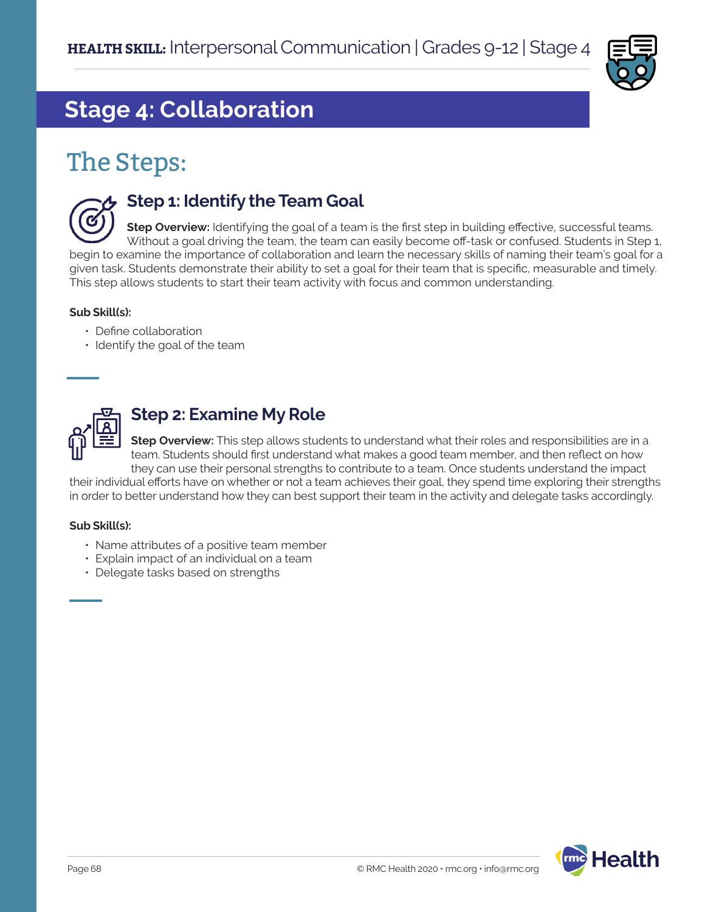

# **Stage 4: Collaboration**

# The Steps:



### **Step 1: Identify the Team Goal**

**Step Overview:** Identifying the goal of a team is the first step in building effective, successful teams. Without a goal driving the team, the team can easily become off-task or confused. Students in Step 1, begin to examine the importance of collaboration and learn the necessary skills of naming their team's goal for a given task. Students demonstrate their ability to set a goal for their team that is specific, measurable and timely. This step allows students to start their team activity with focus and common understanding.

#### **Sub Skill(s):**

- Define collaboration
- Identify the goal of the team



### **Step 2: Examine My Role**

**Step Overview:** This step allows students to understand what their roles and responsibilities are in a team. Students should first understand what makes a good team member, and then reflect on how they can use their personal strengths to contribute to a team. Once students understand the impact

their individual efforts have on whether or not a team achieves their goal, they spend time exploring their strengths in order to better understand how they can best support their team in the activity and delegate tasks accordingly.

#### **Sub Skill(s):**

- Name attributes of a positive team member
- Explain impact of an individual on a team
- Delegate tasks based on strengths

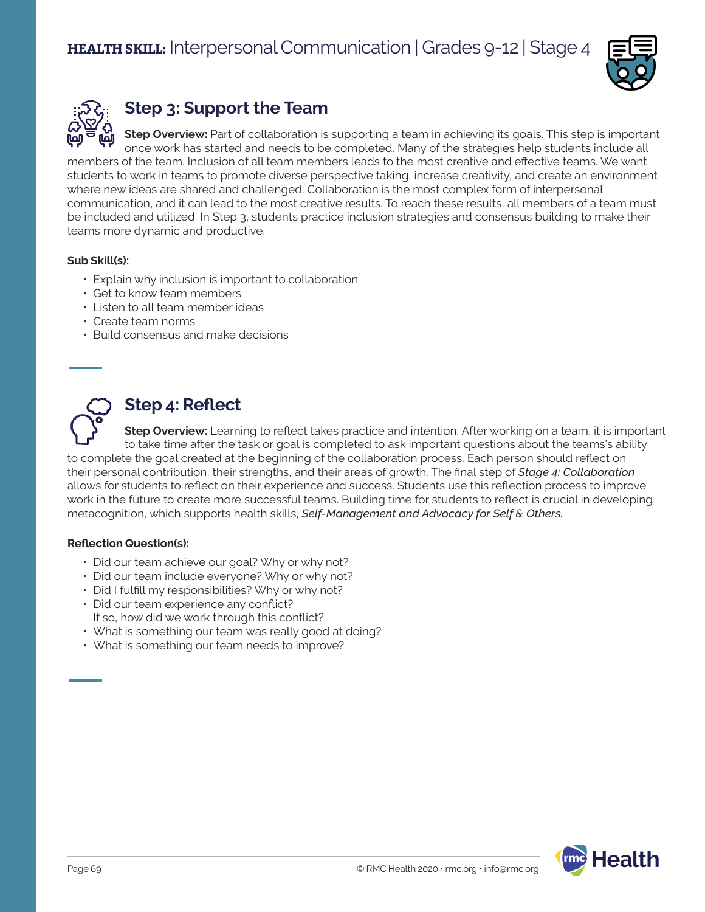



## **Step 3: Support the Team**

**Step Overview:** Part of collaboration is supporting a team in achieving its goals. This step is important once work has started and needs to be completed. Many of the strategies help students include all members of the team. Inclusion of all team members leads to the most creative and effective teams. We want students to work in teams to promote diverse perspective taking, increase creativity, and create an environment where new ideas are shared and challenged. Collaboration is the most complex form of interpersonal communication, and it can lead to the most creative results. To reach these results, all members of a team must be included and utilized. In Step 3, students practice inclusion strategies and consensus building to make their teams more dynamic and productive.

### **Sub Skill(s):**

- Explain why inclusion is important to collaboration
- Get to know team members
- Listen to all team member ideas
- Create team norms
- Build consensus and make decisions



### **Step 4: Reflect**

**Step Overview:** Learning to reflect takes practice and intention. After working on a team, it is important to take time after the task or goal is completed to ask important questions about the teams's ability to complete the goal created at the beginning of the collaboration process. Each person should reflect on their personal contribution, their strengths, and their areas of growth. The final step of *Stage 4: Collaboration*  allows for students to reflect on their experience and success. Students use this reflection process to improve work in the future to create more successful teams. Building time for students to reflect is crucial in developing metacognition, which supports health skills, *Self-Management and Advocacy for Self & Others.* 

#### **Reflection Question(s):**

- Did our team achieve our goal? Why or why not?
- Did our team include everyone? Why or why not?
- Did I fulfill my responsibilities? Why or why not?
- Did our team experience any conflict? If so, how did we work through this conflict?
- What is something our team was really good at doing?
- What is something our team needs to improve?